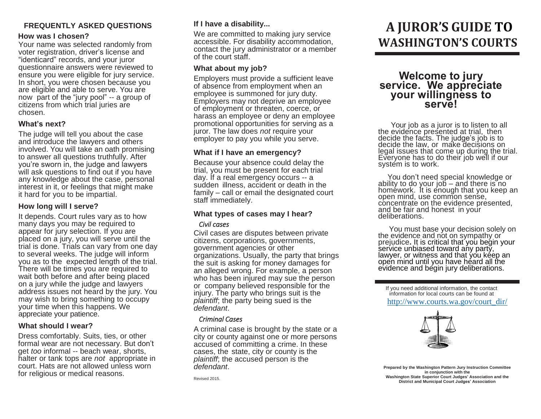# **FREQUENTLY ASKED QUESTIONS**

## **How was I chosen?**

Your name was selected randomly from voter registration, driver's license and "identicard" records, and your juror questionnaire answers were reviewed to ensure you were eligible for jury service. In short, you were chosen because you are eligible and able to serve. You are now part of the "jury pool" -- a group of citizens from which trial juries are chosen.

## **What's next?**

The judge will tell you about the case and introduce the lawyers and others involved. You will take an oath promising to answer all questions truthfully. After you're sworn in, the judge and lawyers will ask questions to find out if you have any knowledge about the case, personal interest in it, or feelings that might make it hard for you to be impartial.

## **How long will I serve?**

It depends. Court rules vary as to how many days you may be required to appear for jury selection. If you are placed on a jury, you will serve until the trial is done. Trials can vary from one day to several weeks. The judge will inform you as to the expected length of the trial. There will be times you are required to wait both before and after being placed on a jury while the judge and lawyers address issues not heard by the jury. You may wish to bring something to occupy your time when this happens. We appreciate your patience.

#### **What should I wear?**

Dress comfortably. Suits, ties, or other formal wear are not necessary. But don't get *too* informal -- beach wear, shorts, halter or tank tops are *not* appropriate in court. Hats are not allowed unless worn for religious or medical reasons.

## **If I have a disability...**

We are committed to making jury service accessible. For disability accommodation, contact the jury administrator or a member of the court staff.

## **What about my job?**

Employers must provide a sufficient leave of absence from employment when an employee is summoned for jury duty. Employers may not deprive an employee of employment or threaten, coerce, or harass an employee or deny an employee promotional opportunities for serving as a juror. The law does *not* require your employer to pay you while you serve.

## **What if I have an emergency?**

Because your absence could delay the trial, you must be present for each trial day. If a real emergency occurs -- a sudden illness, accident or death in the family – call or email the designated court staff immediately.

## **What types of cases may I hear?**

#### *Civil cases*

Civil cases are disputes between private citizens, corporations, governments, government agencies or other organizations. Usually, the party that brings the suit is asking for money damages for an alleged wrong. For example, a person who has been injured may sue the person or company believed responsible for the injury. The party who brings suit is the *plaintiff*; the party being sued is the *defendant*.

#### *Criminal Cases*

A criminal case is brought by the state or a city or county against one or more persons accused of committing a crime. In these cases, the state, city or county is the *plaintiff*; the accused person is the *defendant*.

Revised 2015.

# **A JUROR'S GUIDE TO WASHINGTON'S COURTS**

# **Welcome to jury service. We appreciate your willingness to serve!**

 Your job as a juror is to listen to all the evidence presented at trial, then decide the facts. The judge's job is to decide the law, or make decisions on legal issues that come up during the trial. Everyone has to do their job well if our system is to work.

 You don't need special knowledge or ability to do your job – and there is no homéwork. It is enough that you keep an open mind, use common sense, concentrate on the evidence presented, and be fair and honest in your deliberations.

You must base your decision solely on the evidence and not on sympathy or prejudice**.** It is critical that you begin your service unbiased toward any party, lawyer, or witness and that you keep an open mind until you have heard all the evidence and begin jury deliberations.

If you need additional information, the contact information for local courts can be found at [http://www.courts.wa.gov/court\\_dir/](http://www.courts.wa.gov/court_dir/)



**Prepared by the Washington Pattern Jury Instruction Committee in conjunction with the Washington State Superior Court Judges' Association and the District and Municipal Court Judges' Association**